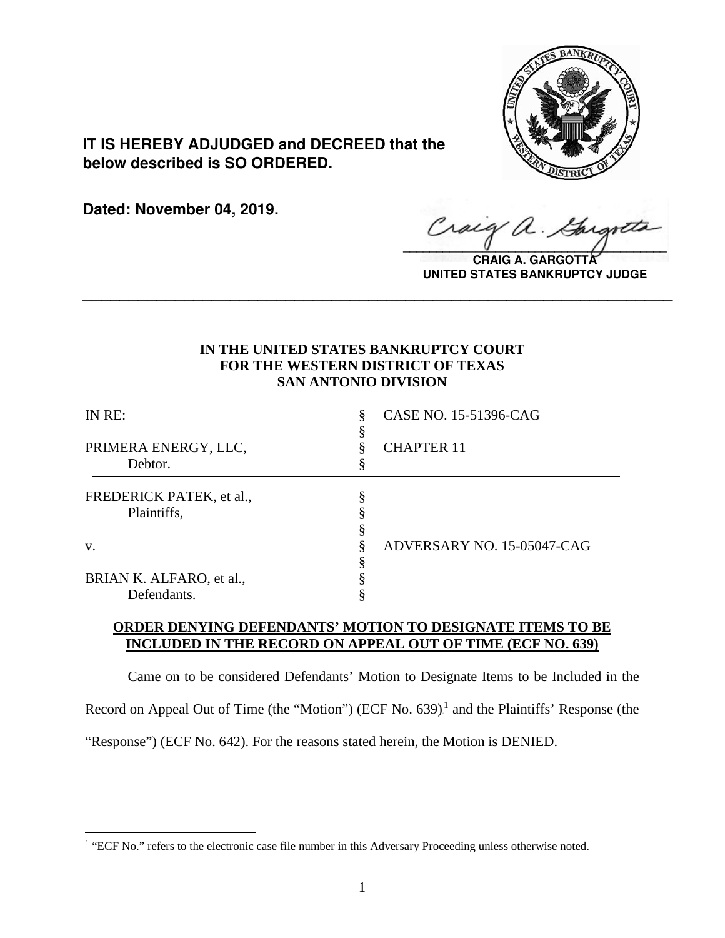

**IT IS HEREBY ADJUDGED and DECREED that the below described is SO ORDERED.**

**Dated: November 04, 2019.**

 $\overline{a}$ 

Craig a.  $\sqrt{2}$ 

**CRAIG A. GARGOTT UNITED STATES BANKRUPTCY JUDGE**

# **IN THE UNITED STATES BANKRUPTCY COURT FOR THE WESTERN DISTRICT OF TEXAS SAN ANTONIO DIVISION**

**\_\_\_\_\_\_\_\_\_\_\_\_\_\_\_\_\_\_\_\_\_\_\_\_\_\_\_\_\_\_\_\_\_\_\_\_\_\_\_\_\_\_\_\_\_\_\_\_\_\_\_\_\_\_\_\_\_\_\_\_\_\_\_\_**

| CASE NO. 15-51396-CAG<br>§ |
|----------------------------|
| <b>CHAPTER 11</b>          |
|                            |
| ADVERSARY NO. 15-05047-CAG |
|                            |
|                            |

## **ORDER DENYING DEFENDANTS' MOTION TO DESIGNATE ITEMS TO BE INCLUDED IN THE RECORD ON APPEAL OUT OF TIME (ECF NO. 639)**

Came on to be considered Defendants' Motion to Designate Items to be Included in the Record on Appeal Out of Time (the "Motion") (ECF No. 639) $<sup>1</sup>$  and the Plaintiffs' Response (the</sup> "Response") (ECF No. 642). For the reasons stated herein, the Motion is DENIED.

<sup>&</sup>lt;sup>1</sup> "ECF No." refers to the electronic case file number in this Adversary Proceeding unless otherwise noted.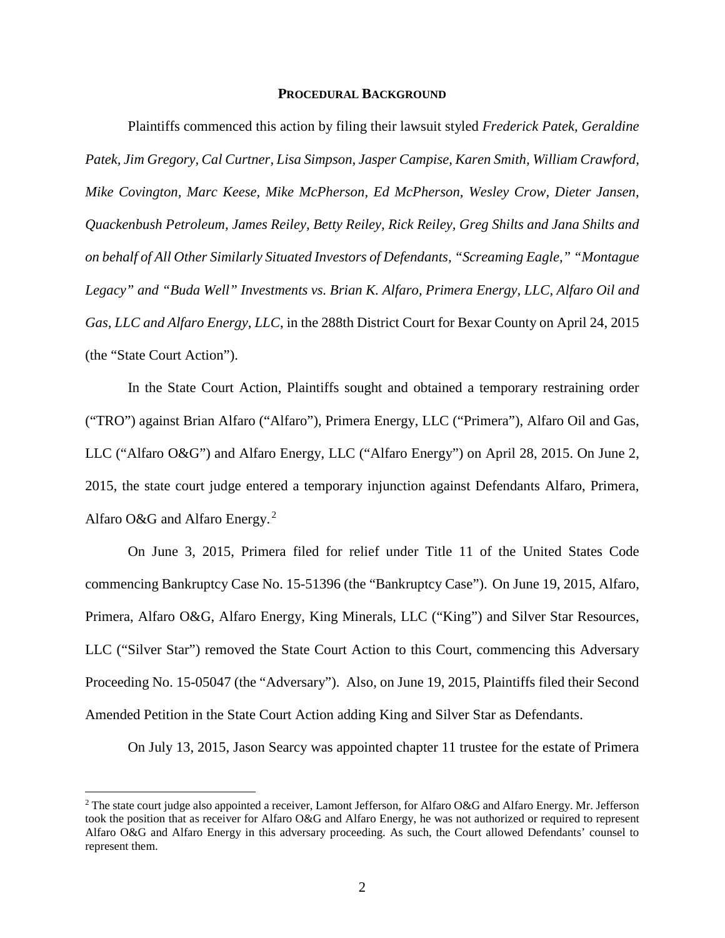#### **PROCEDURAL BACKGROUND**

Plaintiffs commenced this action by filing their lawsuit styled *Frederick Patek, Geraldine Patek, Jim Gregory, Cal Curtner, Lisa Simpson, Jasper Campise, Karen Smith, William Crawford, Mike Covington, Marc Keese, Mike McPherson, Ed McPherson, Wesley Crow, Dieter Jansen, Quackenbush Petroleum, James Reiley, Betty Reiley, Rick Reiley, Greg Shilts and Jana Shilts and on behalf of All Other Similarly Situated Investors of Defendants, "Screaming Eagle," "Montague Legacy" and "Buda Well" Investments vs. Brian K. Alfaro, Primera Energy, LLC, Alfaro Oil and Gas, LLC and Alfaro Energy, LLC*, in the 288th District Court for Bexar County on April 24, 2015 (the "State Court Action").

In the State Court Action, Plaintiffs sought and obtained a temporary restraining order ("TRO") against Brian Alfaro ("Alfaro"), Primera Energy, LLC ("Primera"), Alfaro Oil and Gas, LLC ("Alfaro O&G") and Alfaro Energy, LLC ("Alfaro Energy") on April 28, 2015. On June 2, 2015, the state court judge entered a temporary injunction against Defendants Alfaro, Primera, Alfaro O&G and Alfaro Energy.<sup>2</sup>

On June 3, 2015, Primera filed for relief under Title 11 of the United States Code commencing Bankruptcy Case No. 15-51396 (the "Bankruptcy Case").On June 19, 2015, Alfaro, Primera, Alfaro O&G, Alfaro Energy, King Minerals, LLC ("King") and Silver Star Resources, LLC ("Silver Star") removed the State Court Action to this Court, commencing this Adversary Proceeding No. 15-05047 (the "Adversary"). Also, on June 19, 2015, Plaintiffs filed their Second Amended Petition in the State Court Action adding King and Silver Star as Defendants.

On July 13, 2015, Jason Searcy was appointed chapter 11 trustee for the estate of Primera

<sup>&</sup>lt;sup>2</sup> The state court judge also appointed a receiver, Lamont Jefferson, for Alfaro O&G and Alfaro Energy. Mr. Jefferson took the position that as receiver for Alfaro O&G and Alfaro Energy, he was not authorized or required to represent Alfaro O&G and Alfaro Energy in this adversary proceeding. As such, the Court allowed Defendants' counsel to represent them.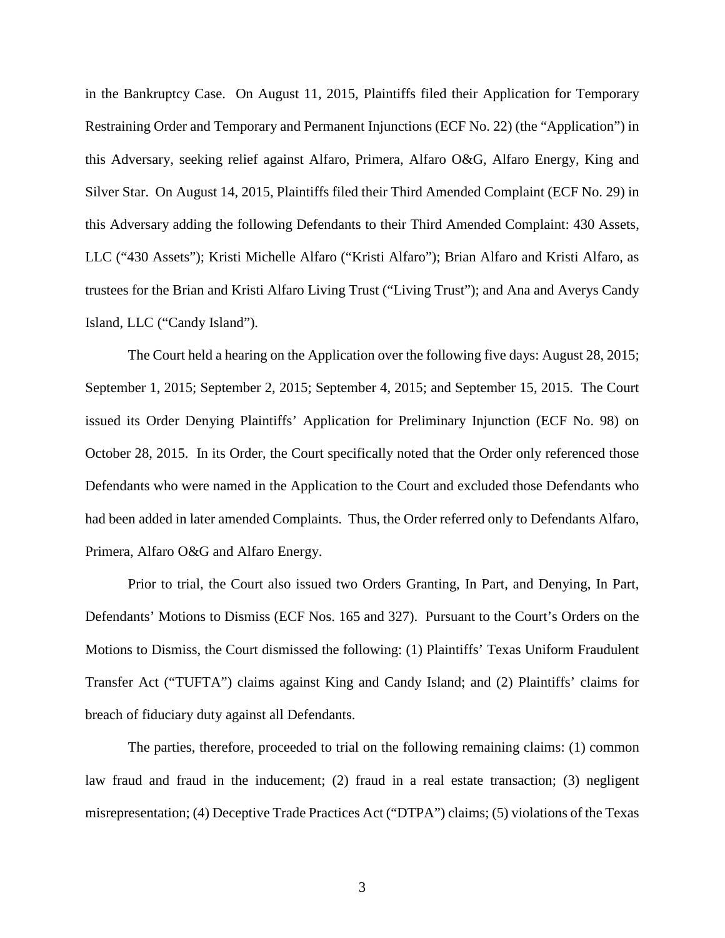in the Bankruptcy Case. On August 11, 2015, Plaintiffs filed their Application for Temporary Restraining Order and Temporary and Permanent Injunctions (ECF No. 22) (the "Application") in this Adversary, seeking relief against Alfaro, Primera, Alfaro O&G, Alfaro Energy, King and Silver Star. On August 14, 2015, Plaintiffs filed their Third Amended Complaint (ECF No. 29) in this Adversary adding the following Defendants to their Third Amended Complaint: 430 Assets, LLC ("430 Assets"); Kristi Michelle Alfaro ("Kristi Alfaro"); Brian Alfaro and Kristi Alfaro, as trustees for the Brian and Kristi Alfaro Living Trust ("Living Trust"); and Ana and Averys Candy Island, LLC ("Candy Island").

The Court held a hearing on the Application over the following five days: August 28, 2015; September 1, 2015; September 2, 2015; September 4, 2015; and September 15, 2015. The Court issued its Order Denying Plaintiffs' Application for Preliminary Injunction (ECF No. 98) on October 28, 2015. In its Order, the Court specifically noted that the Order only referenced those Defendants who were named in the Application to the Court and excluded those Defendants who had been added in later amended Complaints. Thus, the Order referred only to Defendants Alfaro, Primera, Alfaro O&G and Alfaro Energy.

Prior to trial, the Court also issued two Orders Granting, In Part, and Denying, In Part, Defendants' Motions to Dismiss (ECF Nos. 165 and 327). Pursuant to the Court's Orders on the Motions to Dismiss, the Court dismissed the following: (1) Plaintiffs' Texas Uniform Fraudulent Transfer Act ("TUFTA") claims against King and Candy Island; and (2) Plaintiffs' claims for breach of fiduciary duty against all Defendants.

The parties, therefore, proceeded to trial on the following remaining claims: (1) common law fraud and fraud in the inducement; (2) fraud in a real estate transaction; (3) negligent misrepresentation; (4) Deceptive Trade Practices Act ("DTPA") claims; (5) violations of the Texas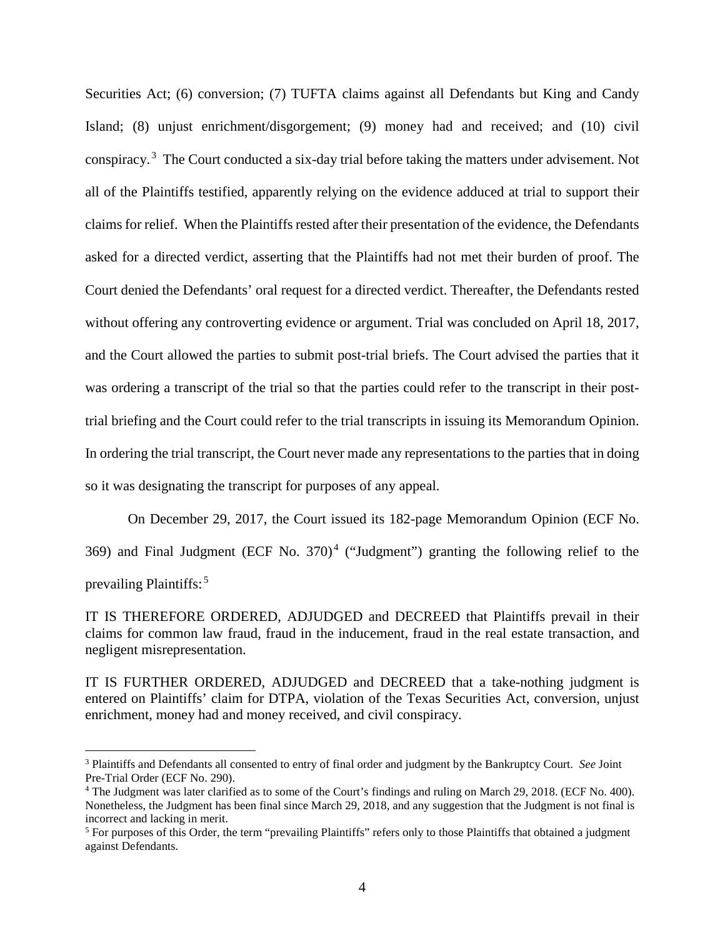Securities Act; (6) conversion; (7) TUFTA claims against all Defendants but King and Candy Island; (8) unjust enrichment/disgorgement; (9) money had and received; and (10) civil conspiracy.<sup>3</sup> The Court conducted a six-day trial before taking the matters under advisement. Not all of the Plaintiffs testified, apparently relying on the evidence adduced at trial to support their claims for relief. When the Plaintiffs rested after their presentation of the evidence, the Defendants asked for a directed verdict, asserting that the Plaintiffs had not met their burden of proof. The Court denied the Defendants' oral request for a directed verdict. Thereafter, the Defendants rested without offering any controverting evidence or argument. Trial was concluded on April 18, 2017, and the Court allowed the parties to submit post-trial briefs. The Court advised the parties that it was ordering a transcript of the trial so that the parties could refer to the transcript in their posttrial briefing and the Court could refer to the trial transcripts in issuing its Memorandum Opinion. In ordering the trial transcript, the Court never made any representations to the parties that in doing so it was designating the transcript for purposes of any appeal.

On December 29, 2017, the Court issued its 182-page Memorandum Opinion (ECF No. 369) and Final Judgment (ECF No. 370)<sup>4</sup> ("Judgment") granting the following relief to the prevailing Plaintiffs:<sup>5</sup>

IT IS THEREFORE ORDERED, ADJUDGED and DECREED that Plaintiffs prevail in their claims for common law fraud, fraud in the inducement, fraud in the real estate transaction, and negligent misrepresentation.

IT IS FURTHER ORDERED, ADJUDGED and DECREED that a take-nothing judgment is entered on Plaintiffs' claim for DTPA, violation of the Texas Securities Act, conversion, unjust enrichment, money had and money received, and civil conspiracy.

 <sup>3</sup> Plaintiffs and Defendants all consented to entry of final order and judgment by the Bankruptcy Court. *See* Joint Pre-Trial Order (ECF No. 290).<br><sup>4</sup> The Judgment was later clarified as to some of the Court's findings and ruling on March 29, 2018. (ECF No. 400).

Nonetheless, the Judgment has been final since March 29, 2018, and any suggestion that the Judgment is not final is incorrect and lacking in merit.

<sup>&</sup>lt;sup>5</sup> For purposes of this Order, the term "prevailing Plaintiffs" refers only to those Plaintiffs that obtained a judgment against Defendants.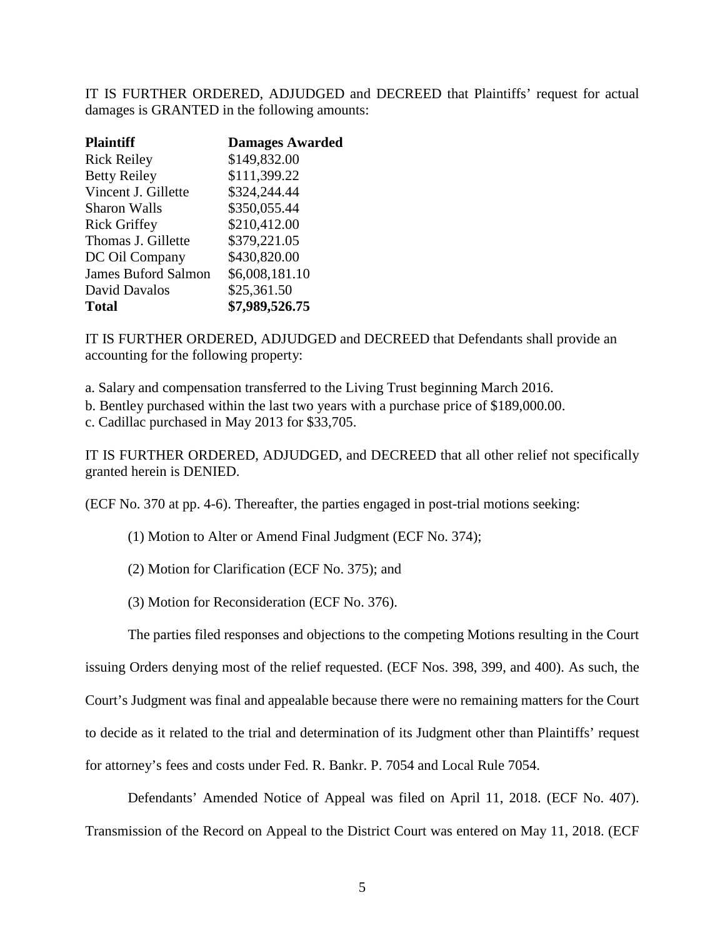IT IS FURTHER ORDERED, ADJUDGED and DECREED that Plaintiffs' request for actual damages is GRANTED in the following amounts:

| <b>Plaintiff</b>           | <b>Damages Awarded</b> |
|----------------------------|------------------------|
| <b>Rick Reiley</b>         | \$149,832.00           |
| <b>Betty Reiley</b>        | \$111,399.22           |
| Vincent J. Gillette        | \$324,244.44           |
| <b>Sharon Walls</b>        | \$350,055.44           |
| <b>Rick Griffey</b>        | \$210,412.00           |
| Thomas J. Gillette         | \$379,221.05           |
| DC Oil Company             | \$430,820.00           |
| <b>James Buford Salmon</b> | \$6,008,181.10         |
| David Davalos              | \$25,361.50            |
| <b>Total</b>               | \$7,989,526.75         |

IT IS FURTHER ORDERED, ADJUDGED and DECREED that Defendants shall provide an accounting for the following property:

a. Salary and compensation transferred to the Living Trust beginning March 2016.

b. Bentley purchased within the last two years with a purchase price of \$189,000.00.

c. Cadillac purchased in May 2013 for \$33,705.

IT IS FURTHER ORDERED, ADJUDGED, and DECREED that all other relief not specifically granted herein is DENIED.

(ECF No. 370 at pp. 4-6). Thereafter, the parties engaged in post-trial motions seeking:

(1) Motion to Alter or Amend Final Judgment (ECF No. 374);

(2) Motion for Clarification (ECF No. 375); and

(3) Motion for Reconsideration (ECF No. 376).

The parties filed responses and objections to the competing Motions resulting in the Court

issuing Orders denying most of the relief requested. (ECF Nos. 398, 399, and 400). As such, the Court's Judgment was final and appealable because there were no remaining matters for the Court to decide as it related to the trial and determination of its Judgment other than Plaintiffs' request for attorney's fees and costs under Fed. R. Bankr. P. 7054 and Local Rule 7054.

Defendants' Amended Notice of Appeal was filed on April 11, 2018. (ECF No. 407). Transmission of the Record on Appeal to the District Court was entered on May 11, 2018. (ECF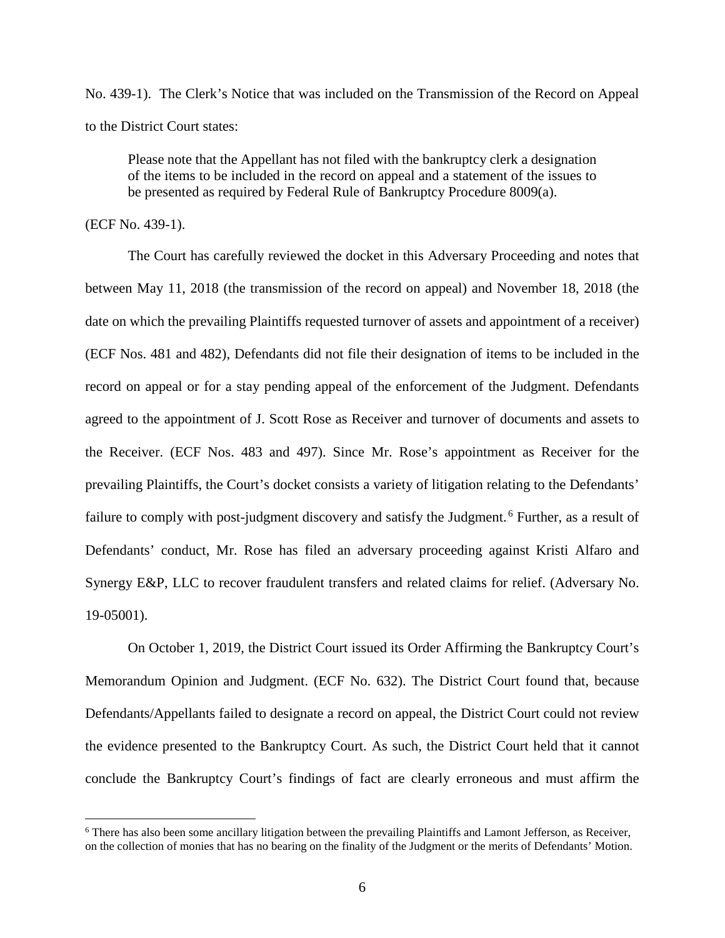No. 439-1). The Clerk's Notice that was included on the Transmission of the Record on Appeal to the District Court states:

Please note that the Appellant has not filed with the bankruptcy clerk a designation of the items to be included in the record on appeal and a statement of the issues to be presented as required by Federal Rule of Bankruptcy Procedure 8009(a).

(ECF No. 439-1).

The Court has carefully reviewed the docket in this Adversary Proceeding and notes that between May 11, 2018 (the transmission of the record on appeal) and November 18, 2018 (the date on which the prevailing Plaintiffs requested turnover of assets and appointment of a receiver) (ECF Nos. 481 and 482), Defendants did not file their designation of items to be included in the record on appeal or for a stay pending appeal of the enforcement of the Judgment. Defendants agreed to the appointment of J. Scott Rose as Receiver and turnover of documents and assets to the Receiver. (ECF Nos. 483 and 497). Since Mr. Rose's appointment as Receiver for the prevailing Plaintiffs, the Court's docket consists a variety of litigation relating to the Defendants' failure to comply with post-judgment discovery and satisfy the Judgment.<sup>6</sup> Further, as a result of Defendants' conduct, Mr. Rose has filed an adversary proceeding against Kristi Alfaro and Synergy E&P, LLC to recover fraudulent transfers and related claims for relief. (Adversary No. 19-05001).

On October 1, 2019, the District Court issued its Order Affirming the Bankruptcy Court's Memorandum Opinion and Judgment. (ECF No. 632). The District Court found that, because Defendants/Appellants failed to designate a record on appeal, the District Court could not review the evidence presented to the Bankruptcy Court. As such, the District Court held that it cannot conclude the Bankruptcy Court's findings of fact are clearly erroneous and must affirm the

<sup>&</sup>lt;sup>6</sup> There has also been some ancillary litigation between the prevailing Plaintiffs and Lamont Jefferson, as Receiver, on the collection of monies that has no bearing on the finality of the Judgment or the merits of Defendants' Motion.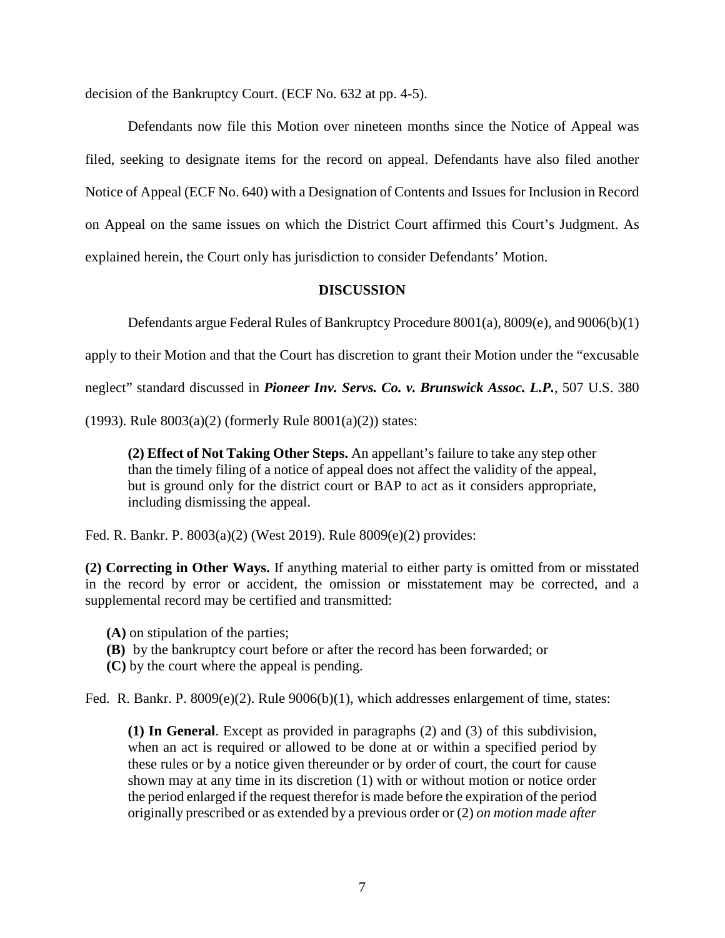decision of the Bankruptcy Court. (ECF No. 632 at pp. 4-5).

Defendants now file this Motion over nineteen months since the Notice of Appeal was filed, seeking to designate items for the record on appeal. Defendants have also filed another Notice of Appeal (ECF No. 640) with a Designation of Contents and Issues for Inclusion in Record on Appeal on the same issues on which the District Court affirmed this Court's Judgment. As explained herein, the Court only has jurisdiction to consider Defendants' Motion.

## **DISCUSSION**

Defendants argue Federal Rules of Bankruptcy Procedure 8001(a), 8009(e), and 9006(b)(1)

apply to their Motion and that the Court has discretion to grant their Motion under the "excusable

neglect" standard discussed in *Pioneer Inv. Servs. Co. v. Brunswick Assoc. L.P.*, 507 U.S. 380

(1993). Rule  $8003(a)(2)$  (formerly Rule  $8001(a)(2)$ ) states:

**(2) Effect of Not Taking Other Steps.** An appellant's failure to take any step other than the timely filing of a notice of appeal does not affect the validity of the appeal, but is ground only for the district court or BAP to act as it considers appropriate, including dismissing the appeal.

Fed. R. Bankr. P. 8003(a)(2) (West 2019). Rule 8009(e)(2) provides:

**(2) Correcting in Other Ways.** If anything material to either party is omitted from or misstated in the record by error or accident, the omission or misstatement may be corrected, and a supplemental record may be certified and transmitted:

- **(A)** on stipulation of the parties;
- **(B)** by the bankruptcy court before or after the record has been forwarded; or
- **(C)** by the court where the appeal is pending.

Fed. R. Bankr. P. 8009(e)(2). Rule 9006(b)(1), which addresses enlargement of time, states:

**(1) In General**. Except as provided in paragraphs (2) and (3) of this subdivision, when an act is required or allowed to be done at or within a specified period by these rules or by a notice given thereunder or by order of court, the court for cause shown may at any time in its discretion (1) with or without motion or notice order the period enlarged if the request therefor is made before the expiration of the period originally prescribed or as extended by a previous order or (2) *on motion made after*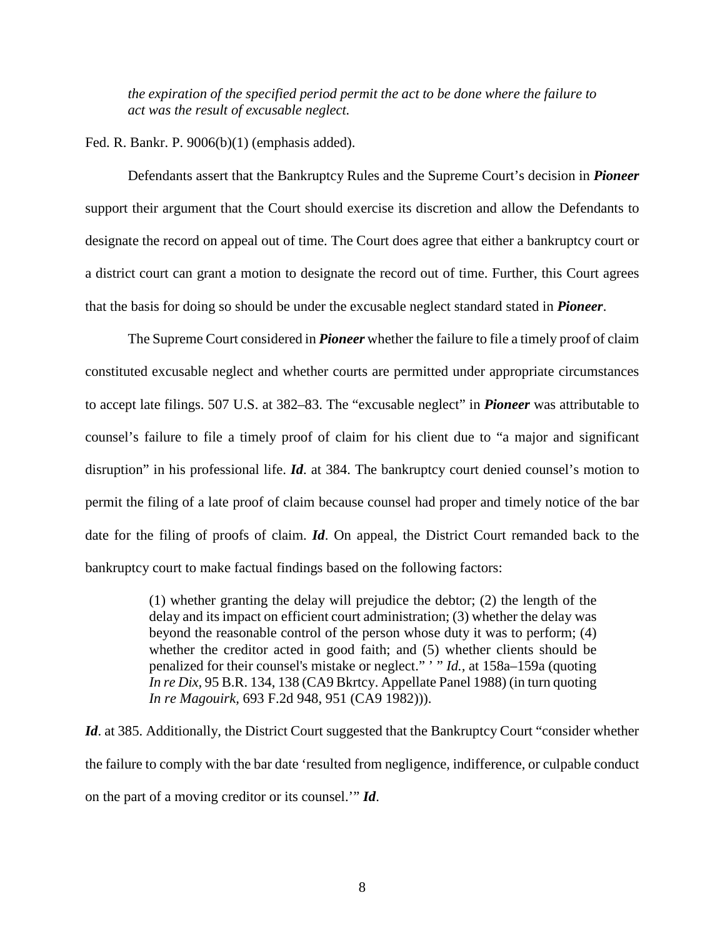*the expiration of the specified period permit the act to be done where the failure to act was the result of excusable neglect.*

Fed. R. Bankr. P. 9006(b)(1) (emphasis added).

Defendants assert that the Bankruptcy Rules and the Supreme Court's decision in *Pioneer* support their argument that the Court should exercise its discretion and allow the Defendants to designate the record on appeal out of time. The Court does agree that either a bankruptcy court or a district court can grant a motion to designate the record out of time. Further, this Court agrees that the basis for doing so should be under the excusable neglect standard stated in *Pioneer*.

The Supreme Court considered in *Pioneer* whether the failure to file a timely proof of claim constituted excusable neglect and whether courts are permitted under appropriate circumstances to accept late filings. 507 U.S. at 382–83. The "excusable neglect" in *Pioneer* was attributable to counsel's failure to file a timely proof of claim for his client due to "a major and significant disruption" in his professional life. *Id*. at 384. The bankruptcy court denied counsel's motion to permit the filing of a late proof of claim because counsel had proper and timely notice of the bar date for the filing of proofs of claim. *Id*. On appeal, the District Court remanded back to the bankruptcy court to make factual findings based on the following factors:

> (1) whether granting the delay will prejudice the debtor; (2) the length of the delay and its impact on efficient court administration; (3) whether the delay was beyond the reasonable control of the person whose duty it was to perform; (4) whether the creditor acted in good faith; and (5) whether clients should be penalized for their counsel's mistake or neglect."<sup>, "</sup>*Id.*, at 158a–159a (quoting *In re Dix,* [95 B.R. 134, 138 \(CA9 Bkrtcy. Appellate Panel 1988\)](https://1.next.westlaw.com/Link/Document/FullText?findType=Y&serNum=1989024373&pubNum=0000164&originatingDoc=Iaf7baa7c9c7e11d9bdd1cfdd544ca3a4&refType=RP&fi=co_pp_sp_164_138&originationContext=document&transitionType=DocumentItem&contextData=(sc.History*oc.UserEnteredCitation)#co_pp_sp_164_138) (in turn quoting *In re Magouirk,* [693 F.2d 948, 951 \(CA9 1982\)\)](https://1.next.westlaw.com/Link/Document/FullText?findType=Y&serNum=1982151598&pubNum=0000350&originatingDoc=Iaf7baa7c9c7e11d9bdd1cfdd544ca3a4&refType=RP&fi=co_pp_sp_350_951&originationContext=document&transitionType=DocumentItem&contextData=(sc.History*oc.UserEnteredCitation)#co_pp_sp_350_951)).

*Id.* at 385. Additionally, the District Court suggested that the Bankruptcy Court "consider whether the failure to comply with the bar date 'resulted from negligence, indifference, or culpable conduct on the part of a moving creditor or its counsel.'" *Id*.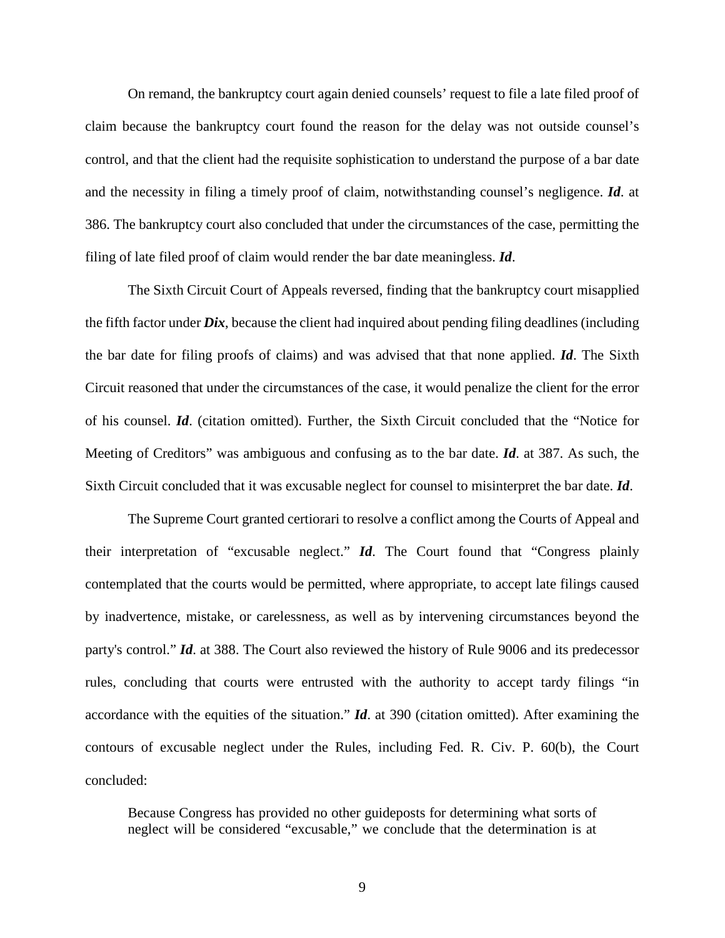On remand, the bankruptcy court again denied counsels' request to file a late filed proof of claim because the bankruptcy court found the reason for the delay was not outside counsel's control, and that the client had the requisite sophistication to understand the purpose of a bar date and the necessity in filing a timely proof of claim, notwithstanding counsel's negligence. *Id*. at 386. The bankruptcy court also concluded that under the circumstances of the case, permitting the filing of late filed proof of claim would render the bar date meaningless. *Id*.

The Sixth Circuit Court of Appeals reversed, finding that the bankruptcy court misapplied the fifth factor under *Dix*, because the client had inquired about pending filing deadlines (including the bar date for filing proofs of claims) and was advised that that none applied. *Id*. The Sixth Circuit reasoned that under the circumstances of the case, it would penalize the client for the error of his counsel. *Id*. (citation omitted). Further, the Sixth Circuit concluded that the "Notice for Meeting of Creditors" was ambiguous and confusing as to the bar date. *Id*. at 387. As such, the Sixth Circuit concluded that it was excusable neglect for counsel to misinterpret the bar date. *Id*.

The Supreme Court granted certiorari to resolve a conflict among the Courts of Appeal and their interpretation of "excusable neglect." *Id*. The Court found that "Congress plainly contemplated that the courts would be permitted, where appropriate, to accept late filings caused by inadvertence, mistake, or carelessness, as well as by intervening circumstances beyond the party's control." *Id*. at 388. The Court also reviewed the history of Rule 9006 and its predecessor rules, concluding that courts were entrusted with the authority to accept tardy filings "in accordance with the equities of the situation." *Id*. at 390 (citation omitted). After examining the contours of excusable neglect under the Rules, including Fed. R. Civ. P. 60(b), the Court concluded:

Because Congress has provided no other guideposts for determining what sorts of neglect will be considered "excusable," we conclude that the determination is at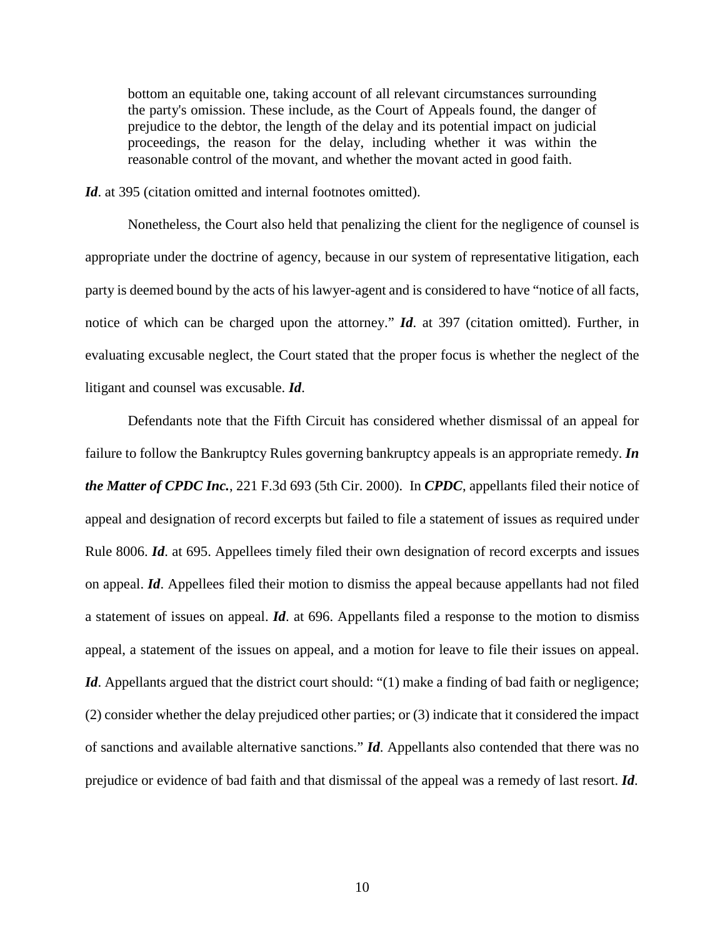bottom an equitable one, taking account of all relevant circumstances surrounding the party's omission. These include, as the Court of Appeals found, the danger of prejudice to the debtor, the length of the delay and its potential impact on judicial proceedings, the reason for the delay, including whether it was within the reasonable control of the movant, and whether the movant acted in good faith.

*Id*. at 395 (citation omitted and internal footnotes omitted).

Nonetheless, the Court also held that penalizing the client for the negligence of counsel is appropriate under the doctrine of agency, because in our system of representative litigation, each party is deemed bound by the acts of his lawyer-agent and is considered to have "notice of all facts, notice of which can be charged upon the attorney." *Id*. at 397 (citation omitted). Further, in evaluating excusable neglect, the Court stated that the proper focus is whether the neglect of the litigant and counsel was excusable. *Id*.

Defendants note that the Fifth Circuit has considered whether dismissal of an appeal for failure to follow the Bankruptcy Rules governing bankruptcy appeals is an appropriate remedy. *In the Matter of CPDC Inc.*, 221 F.3d 693 (5th Cir. 2000). In *CPDC*, appellants filed their notice of appeal and designation of record excerpts but failed to file a statement of issues as required under Rule 8006. *Id*. at 695. Appellees timely filed their own designation of record excerpts and issues on appeal. *Id*. Appellees filed their motion to dismiss the appeal because appellants had not filed a statement of issues on appeal. *Id*. at 696. Appellants filed a response to the motion to dismiss appeal, a statement of the issues on appeal, and a motion for leave to file their issues on appeal. *Id*. Appellants argued that the district court should: "(1) make a finding of bad faith or negligence; (2) consider whether the delay prejudiced other parties; or (3) indicate that it considered the impact of sanctions and available alternative sanctions." *Id*. Appellants also contended that there was no prejudice or evidence of bad faith and that dismissal of the appeal was a remedy of last resort. *Id*.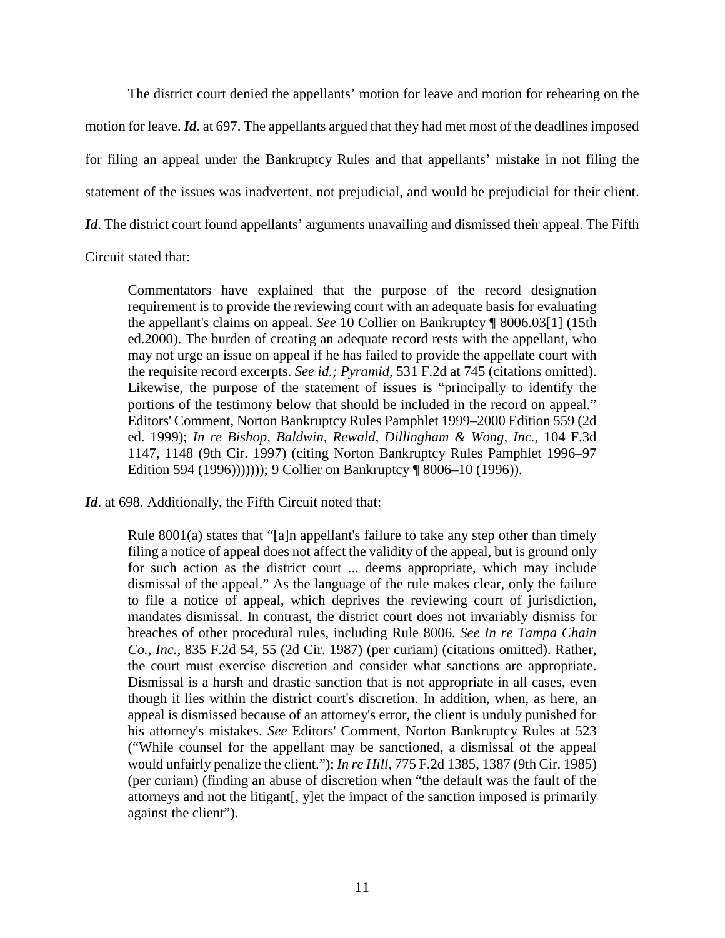The district court denied the appellants' motion for leave and motion for rehearing on the motion for leave. *Id*. at 697. The appellants argued that they had met most of the deadlines imposed for filing an appeal under the Bankruptcy Rules and that appellants' mistake in not filing the statement of the issues was inadvertent, not prejudicial, and would be prejudicial for their client. *Id*. The district court found appellants' arguments unavailing and dismissed their appeal. The Fifth

Circuit stated that:

Commentators have explained that the purpose of the record designation requirement is to provide the reviewing court with an adequate basis for evaluating the appellant's claims on appeal. *See* 10 Collier on Bankruptcy ¶ 8006.03[1] (15th ed.2000). The burden of creating an adequate record rests with the appellant, who may not urge an issue on appeal if he has failed to provide the appellate court with the requisite record excerpts. *See id.; Pyramid,* [531 F.2d at 745](https://1.next.westlaw.com/Link/Document/FullText?findType=Y&serNum=1976145555&pubNum=0000350&originatingDoc=I99ad5970798b11d9bf29e2067ad74e5b&refType=RP&fi=co_pp_sp_350_745&originationContext=document&transitionType=DocumentItem&contextData=(sc.History*oc.UserEnteredCitation)#co_pp_sp_350_745) (citations omitted). Likewise, the purpose of the statement of issues is "principally to identify the portions of the testimony below that should be included in the record on appeal." Editors' Comment, Norton Bankruptcy Rules Pamphlet 1999–2000 Edition 559 (2d ed. 1999); *[In re Bishop, Baldwin, Rewald, Dillingham & Wong, Inc.,](https://1.next.westlaw.com/Link/Document/FullText?findType=Y&serNum=1997030498&pubNum=0000506&originatingDoc=I99ad5970798b11d9bf29e2067ad74e5b&refType=RP&fi=co_pp_sp_506_1148&originationContext=document&transitionType=DocumentItem&contextData=(sc.History*oc.UserEnteredCitation)#co_pp_sp_506_1148)* 104 F.3d [1147, 1148 \(9th Cir.](https://1.next.westlaw.com/Link/Document/FullText?findType=Y&serNum=1997030498&pubNum=0000506&originatingDoc=I99ad5970798b11d9bf29e2067ad74e5b&refType=RP&fi=co_pp_sp_506_1148&originationContext=document&transitionType=DocumentItem&contextData=(sc.History*oc.UserEnteredCitation)#co_pp_sp_506_1148) 1997) (citing Norton Bankruptcy Rules Pamphlet 1996–97 Edition 594 (1996))))))); 9 Collier on Bankruptcy ¶ 8006–10 (1996)).

*Id*. at 698. Additionally, the Fifth Circuit noted that:

[Rule 8001\(a\)](https://1.next.westlaw.com/Link/Document/FullText?findType=L&pubNum=1000611&cite=USFRBPR8001&originatingDoc=I99ad5970798b11d9bf29e2067ad74e5b&refType=RB&originationContext=document&transitionType=DocumentItem&contextData=(sc.History*oc.UserEnteredCitation)#co_pp_8b3b0000958a4) states that "[a]n appellant's failure to take any step other than timely filing a notice of appeal does not affect the validity of the appeal, but is ground only for such action as the district court ... deems appropriate, which may include dismissal of the appeal." As the language of the rule makes clear, only the failure to file a notice of appeal, which deprives the reviewing court of jurisdiction, mandates dismissal. In contrast, the district court does not invariably dismiss for breaches of other procedural rules, including [Rule 8006.](https://1.next.westlaw.com/Link/Document/FullText?findType=L&pubNum=1000611&cite=USFRBPR8006&originatingDoc=I99ad5970798b11d9bf29e2067ad74e5b&refType=LQ&originationContext=document&transitionType=DocumentItem&contextData=(sc.History*oc.UserEnteredCitation)) *See [In re Tampa Chain](https://1.next.westlaw.com/Link/Document/FullText?findType=Y&serNum=1987157287&pubNum=0000350&originatingDoc=I99ad5970798b11d9bf29e2067ad74e5b&refType=RP&fi=co_pp_sp_350_55&originationContext=document&transitionType=DocumentItem&contextData=(sc.History*oc.UserEnteredCitation)#co_pp_sp_350_55)  Co., Inc.,* [835 F.2d 54, 55 \(2d Cir.](https://1.next.westlaw.com/Link/Document/FullText?findType=Y&serNum=1987157287&pubNum=0000350&originatingDoc=I99ad5970798b11d9bf29e2067ad74e5b&refType=RP&fi=co_pp_sp_350_55&originationContext=document&transitionType=DocumentItem&contextData=(sc.History*oc.UserEnteredCitation)#co_pp_sp_350_55) 1987) (per curiam) (citations omitted). Rather, the court must exercise discretion and consider what sanctions are appropriate. Dismissal is a harsh and drastic sanction that is not appropriate in all cases, even though it lies within the district court's discretion. In addition, when, as here, an appeal is dismissed because of an attorney's error, the client is unduly punished for his attorney's mistakes. *See* Editors' Comment, Norton Bankruptcy Rules at 523 ("While counsel for the appellant may be sanctioned, a dismissal of the appeal would unfairly penalize the client."); *In re Hill,* [775 F.2d 1385, 1387 \(9th Cir.](https://1.next.westlaw.com/Link/Document/FullText?findType=Y&serNum=1985155285&pubNum=0000350&originatingDoc=I99ad5970798b11d9bf29e2067ad74e5b&refType=RP&fi=co_pp_sp_350_1387&originationContext=document&transitionType=DocumentItem&contextData=(sc.History*oc.UserEnteredCitation)#co_pp_sp_350_1387) 1985) (per curiam) (finding an abuse of discretion when "the default was the fault of the attorneys and not the litigant[, y]et the impact of the sanction imposed is primarily against the client").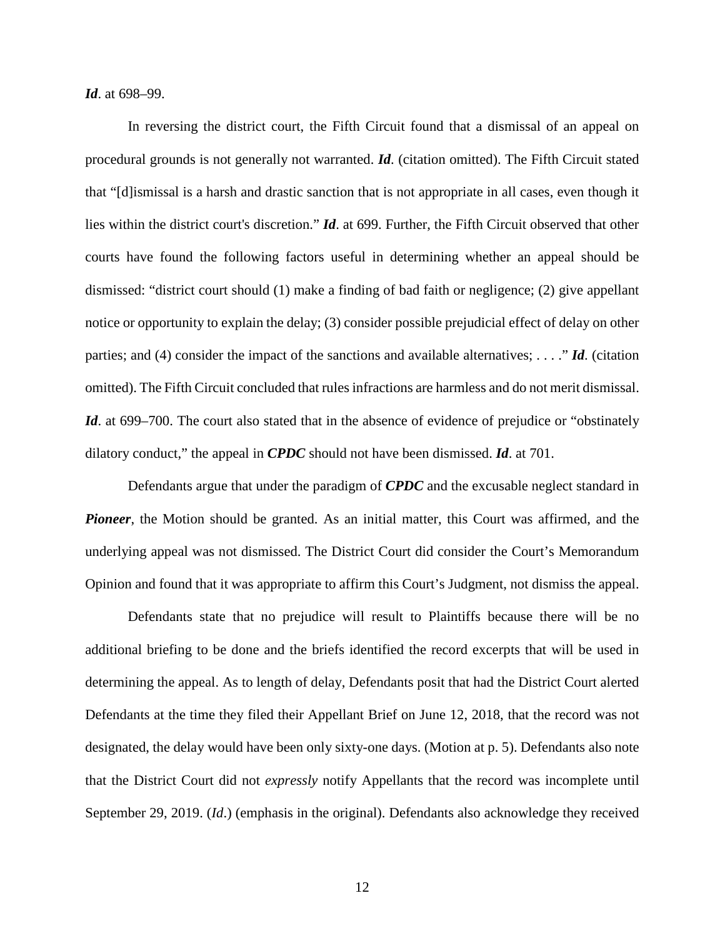*Id*. at 698–99.

In reversing the district court, the Fifth Circuit found that a dismissal of an appeal on procedural grounds is not generally not warranted. *Id*. (citation omitted). The Fifth Circuit stated that "[d]ismissal is a harsh and drastic sanction that is not appropriate in all cases, even though it lies within the district court's discretion." *Id*. at 699. Further, the Fifth Circuit observed that other courts have found the following factors useful in determining whether an appeal should be dismissed: "district court should (1) make a finding of bad faith or negligence; (2) give appellant notice or opportunity to explain the delay; (3) consider possible prejudicial effect of delay on other parties; and (4) consider the impact of the sanctions and available alternatives; . . . ." *Id*. (citation omitted). The Fifth Circuit concluded that rules infractions are harmless and do not merit dismissal. *Id.* at 699–700. The court also stated that in the absence of evidence of prejudice or "obstinately" dilatory conduct," the appeal in *CPDC* should not have been dismissed. *Id*. at 701.

Defendants argue that under the paradigm of *CPDC* and the excusable neglect standard in *Pioneer*, the Motion should be granted. As an initial matter, this Court was affirmed, and the underlying appeal was not dismissed. The District Court did consider the Court's Memorandum Opinion and found that it was appropriate to affirm this Court's Judgment, not dismiss the appeal.

Defendants state that no prejudice will result to Plaintiffs because there will be no additional briefing to be done and the briefs identified the record excerpts that will be used in determining the appeal. As to length of delay, Defendants posit that had the District Court alerted Defendants at the time they filed their Appellant Brief on June 12, 2018, that the record was not designated, the delay would have been only sixty-one days. (Motion at p. 5). Defendants also note that the District Court did not *expressly* notify Appellants that the record was incomplete until September 29, 2019. (*Id*.) (emphasis in the original). Defendants also acknowledge they received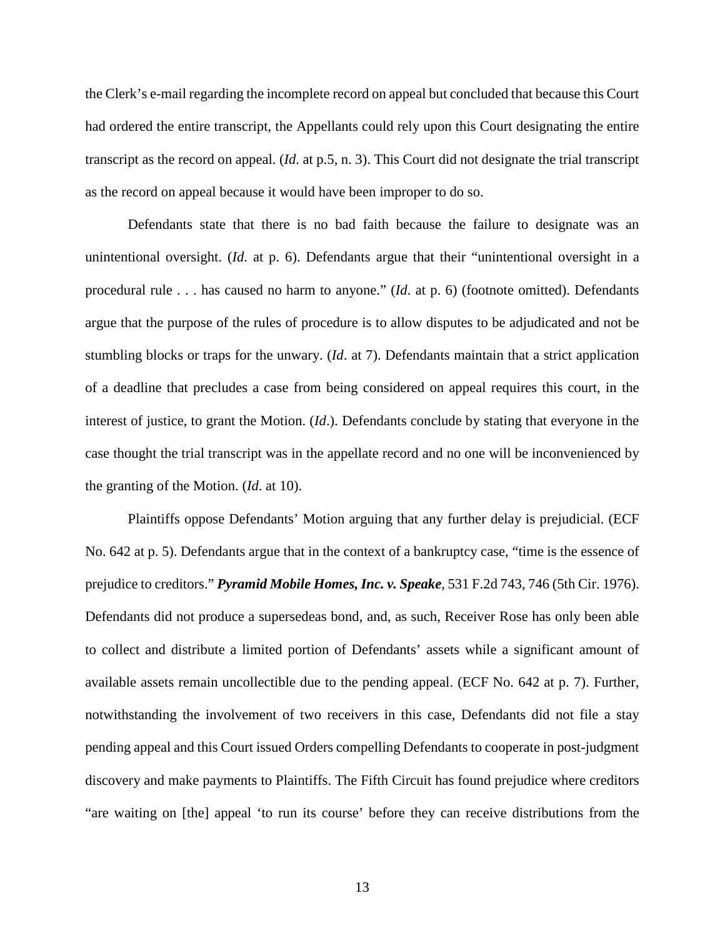the Clerk's e-mail regarding the incomplete record on appeal but concluded that because this Court had ordered the entire transcript, the Appellants could rely upon this Court designating the entire transcript as the record on appeal. (*Id*. at p.5, n. 3). This Court did not designate the trial transcript as the record on appeal because it would have been improper to do so.

Defendants state that there is no bad faith because the failure to designate was an unintentional oversight. (*Id*. at p. 6). Defendants argue that their "unintentional oversight in a procedural rule . . . has caused no harm to anyone." (*Id*. at p. 6) (footnote omitted). Defendants argue that the purpose of the rules of procedure is to allow disputes to be adjudicated and not be stumbling blocks or traps for the unwary. (*Id*. at 7). Defendants maintain that a strict application of a deadline that precludes a case from being considered on appeal requires this court, in the interest of justice, to grant the Motion. (*Id*.). Defendants conclude by stating that everyone in the case thought the trial transcript was in the appellate record and no one will be inconvenienced by the granting of the Motion. (*Id*. at 10).

Plaintiffs oppose Defendants' Motion arguing that any further delay is prejudicial. (ECF No. 642 at p. 5). Defendants argue that in the context of a bankruptcy case, "time is the essence of prejudice to creditors." *Pyramid Mobile Homes, Inc. v. Speake*, 531 F.2d 743, 746 (5th Cir. 1976). Defendants did not produce a supersedeas bond, and, as such, Receiver Rose has only been able to collect and distribute a limited portion of Defendants' assets while a significant amount of available assets remain uncollectible due to the pending appeal. (ECF No. 642 at p. 7). Further, notwithstanding the involvement of two receivers in this case, Defendants did not file a stay pending appeal and this Court issued Orders compelling Defendants to cooperate in post-judgment discovery and make payments to Plaintiffs. The Fifth Circuit has found prejudice where creditors "are waiting on [the] appeal 'to run its course' before they can receive distributions from the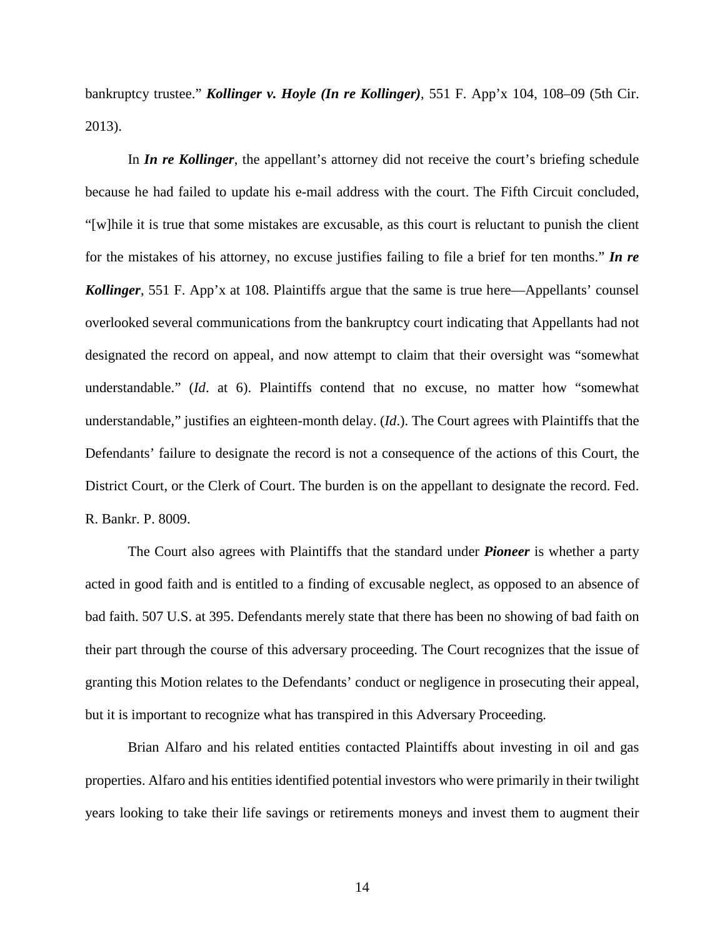bankruptcy trustee." *Kollinger v. Hoyle (In re Kollinger)*, 551 F. App'x 104, 108–09 (5th Cir. 2013).

In *In re Kollinger*, the appellant's attorney did not receive the court's briefing schedule because he had failed to update his e-mail address with the court. The Fifth Circuit concluded, "[w]hile it is true that some mistakes are excusable, as this court is reluctant to punish the client for the mistakes of his attorney, no excuse justifies failing to file a brief for ten months." *In re Kollinger*, 551 F. App'x at 108. Plaintiffs argue that the same is true here—Appellants' counsel overlooked several communications from the bankruptcy court indicating that Appellants had not designated the record on appeal, and now attempt to claim that their oversight was "somewhat understandable." (*Id*. at 6). Plaintiffs contend that no excuse, no matter how "somewhat understandable," justifies an eighteen-month delay. (*Id*.). The Court agrees with Plaintiffs that the Defendants' failure to designate the record is not a consequence of the actions of this Court, the District Court, or the Clerk of Court. The burden is on the appellant to designate the record. Fed. R. Bankr. P. 8009.

The Court also agrees with Plaintiffs that the standard under *Pioneer* is whether a party acted in good faith and is entitled to a finding of excusable neglect, as opposed to an absence of bad faith. 507 U.S. at 395. Defendants merely state that there has been no showing of bad faith on their part through the course of this adversary proceeding. The Court recognizes that the issue of granting this Motion relates to the Defendants' conduct or negligence in prosecuting their appeal, but it is important to recognize what has transpired in this Adversary Proceeding.

Brian Alfaro and his related entities contacted Plaintiffs about investing in oil and gas properties. Alfaro and his entities identified potential investors who were primarily in their twilight years looking to take their life savings or retirements moneys and invest them to augment their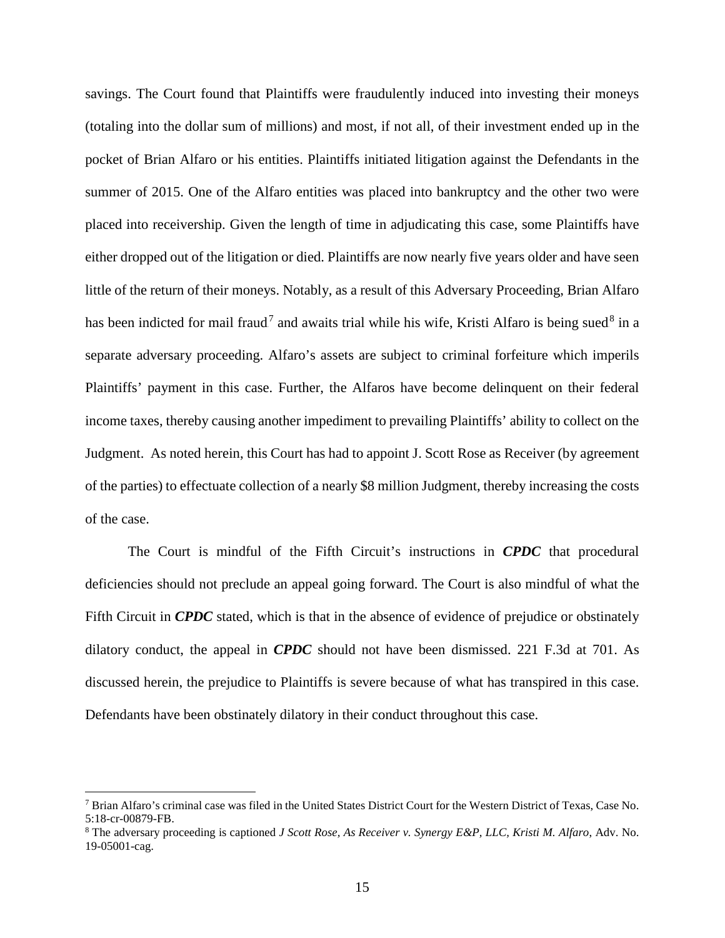savings. The Court found that Plaintiffs were fraudulently induced into investing their moneys (totaling into the dollar sum of millions) and most, if not all, of their investment ended up in the pocket of Brian Alfaro or his entities. Plaintiffs initiated litigation against the Defendants in the summer of 2015. One of the Alfaro entities was placed into bankruptcy and the other two were placed into receivership. Given the length of time in adjudicating this case, some Plaintiffs have either dropped out of the litigation or died. Plaintiffs are now nearly five years older and have seen little of the return of their moneys. Notably, as a result of this Adversary Proceeding, Brian Alfaro has been indicted for mail fraud<sup>7</sup> and awaits trial while his wife, Kristi Alfaro is being sued<sup>8</sup> in a separate adversary proceeding. Alfaro's assets are subject to criminal forfeiture which imperils Plaintiffs' payment in this case. Further, the Alfaros have become delinquent on their federal income taxes, thereby causing another impediment to prevailing Plaintiffs' ability to collect on the Judgment. As noted herein, this Court has had to appoint J. Scott Rose as Receiver (by agreement of the parties) to effectuate collection of a nearly \$8 million Judgment, thereby increasing the costs of the case.

The Court is mindful of the Fifth Circuit's instructions in *CPDC* that procedural deficiencies should not preclude an appeal going forward. The Court is also mindful of what the Fifth Circuit in *CPDC* stated, which is that in the absence of evidence of prejudice or obstinately dilatory conduct, the appeal in *CPDC* should not have been dismissed. 221 F.3d at 701. As discussed herein, the prejudice to Plaintiffs is severe because of what has transpired in this case. Defendants have been obstinately dilatory in their conduct throughout this case.

 $^7$  Brian Alfaro's criminal case was filed in the United States District Court for the Western District of Texas, Case No. 5:18-cr-00879-FB.<br><sup>8</sup> The adversary proceeding is captioned *J Scott Rose, As Receiver v. Synergy E&P, LLC, Kristi M. Alfaro, Adv. No.* 

<sup>19-05001-</sup>cag.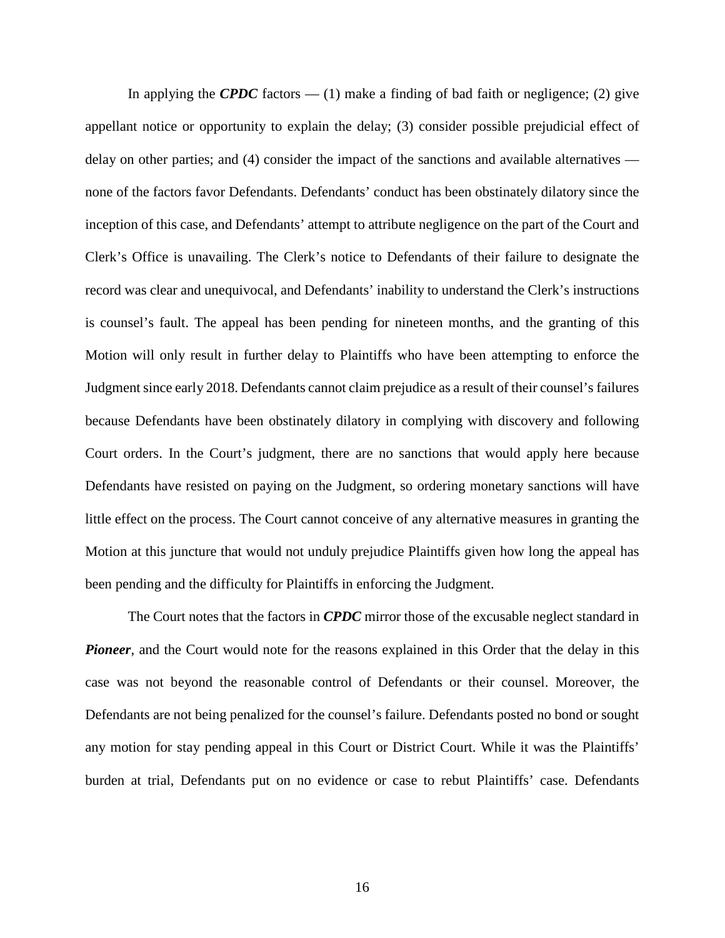In applying the **CPDC** factors  $- (1)$  make a finding of bad faith or negligence; (2) give appellant notice or opportunity to explain the delay; (3) consider possible prejudicial effect of delay on other parties; and (4) consider the impact of the sanctions and available alternatives none of the factors favor Defendants. Defendants' conduct has been obstinately dilatory since the inception of this case, and Defendants' attempt to attribute negligence on the part of the Court and Clerk's Office is unavailing. The Clerk's notice to Defendants of their failure to designate the record was clear and unequivocal, and Defendants' inability to understand the Clerk's instructions is counsel's fault. The appeal has been pending for nineteen months, and the granting of this Motion will only result in further delay to Plaintiffs who have been attempting to enforce the Judgment since early 2018. Defendants cannot claim prejudice as a result of their counsel's failures because Defendants have been obstinately dilatory in complying with discovery and following Court orders. In the Court's judgment, there are no sanctions that would apply here because Defendants have resisted on paying on the Judgment, so ordering monetary sanctions will have little effect on the process. The Court cannot conceive of any alternative measures in granting the Motion at this juncture that would not unduly prejudice Plaintiffs given how long the appeal has been pending and the difficulty for Plaintiffs in enforcing the Judgment.

The Court notes that the factors in *CPDC* mirror those of the excusable neglect standard in *Pioneer*, and the Court would note for the reasons explained in this Order that the delay in this case was not beyond the reasonable control of Defendants or their counsel. Moreover, the Defendants are not being penalized for the counsel's failure. Defendants posted no bond or sought any motion for stay pending appeal in this Court or District Court. While it was the Plaintiffs' burden at trial, Defendants put on no evidence or case to rebut Plaintiffs' case. Defendants